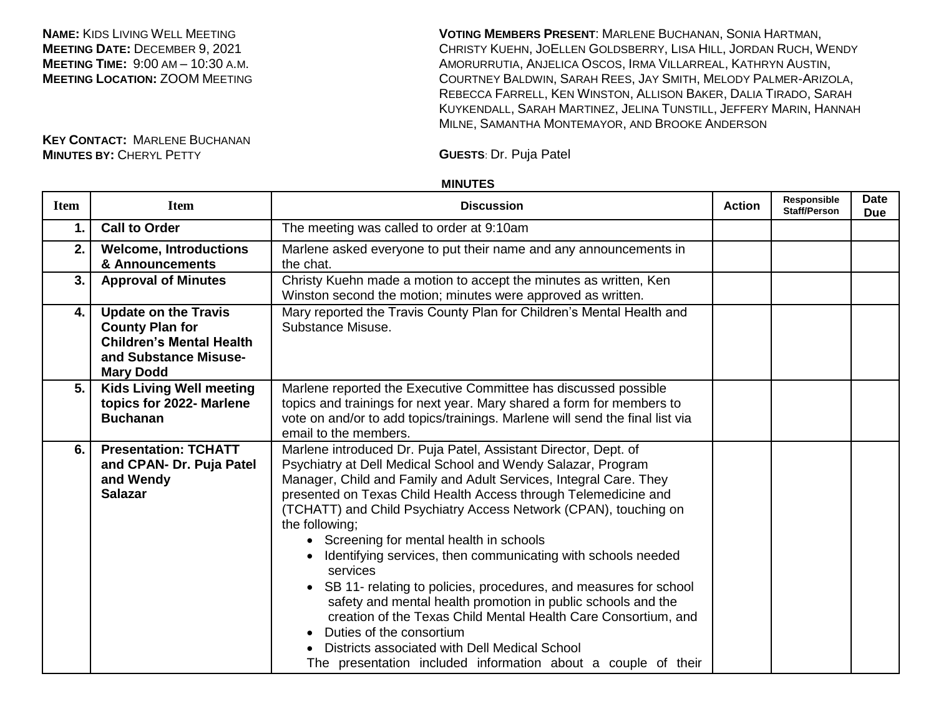**NAME:** KIDS LIVING WELL MEETING **MEETING DATE:** DECEMBER 9, 2021 **MEETING TIME:** 9:00 AM – 10:30 A.M. **MEETING LOCATION: ZOOM MEETING**  **VOTING MEMBERS PRESENT**: MARLENE BUCHANAN, SONIA HARTMAN, CHRISTY KUEHN, JOELLEN GOLDSBERRY, LISA HILL, JORDAN RUCH, WENDY AMORURRUTIA, ANJELICA OSCOS, IRMA VILLARREAL, KATHRYN AUSTIN, COURTNEY BALDWIN, SARAH REES, JAY SMITH, MELODY PALMER-ARIZOLA, REBECCA FARRELL, KEN WINSTON, ALLISON BAKER, DALIA TIRADO, SARAH KUYKENDALL, SARAH MARTINEZ, JELINA TUNSTILL, JEFFERY MARIN, HANNAH MILNE, SAMANTHA MONTEMAYOR, AND BROOKE ANDERSON

## **MINUTES**

| <b>Item</b> | <b>Item</b>                                                                                                                           | <b>Discussion</b>                                                                                                                                                                                                                                                                                                                                                                                                                                                                                                                                                                                                                                                                                                                                                                                                                           | <b>Action</b> | Responsible<br><b>Staff/Person</b> | <b>Date</b><br><b>Due</b> |
|-------------|---------------------------------------------------------------------------------------------------------------------------------------|---------------------------------------------------------------------------------------------------------------------------------------------------------------------------------------------------------------------------------------------------------------------------------------------------------------------------------------------------------------------------------------------------------------------------------------------------------------------------------------------------------------------------------------------------------------------------------------------------------------------------------------------------------------------------------------------------------------------------------------------------------------------------------------------------------------------------------------------|---------------|------------------------------------|---------------------------|
| 1.          | <b>Call to Order</b>                                                                                                                  | The meeting was called to order at 9:10am                                                                                                                                                                                                                                                                                                                                                                                                                                                                                                                                                                                                                                                                                                                                                                                                   |               |                                    |                           |
| 2.          | <b>Welcome, Introductions</b><br>& Announcements                                                                                      | Marlene asked everyone to put their name and any announcements in<br>the chat.                                                                                                                                                                                                                                                                                                                                                                                                                                                                                                                                                                                                                                                                                                                                                              |               |                                    |                           |
| 3.          | <b>Approval of Minutes</b>                                                                                                            | Christy Kuehn made a motion to accept the minutes as written, Ken<br>Winston second the motion; minutes were approved as written.                                                                                                                                                                                                                                                                                                                                                                                                                                                                                                                                                                                                                                                                                                           |               |                                    |                           |
| 4.          | <b>Update on the Travis</b><br><b>County Plan for</b><br><b>Children's Mental Health</b><br>and Substance Misuse-<br><b>Mary Dodd</b> | Mary reported the Travis County Plan for Children's Mental Health and<br>Substance Misuse.                                                                                                                                                                                                                                                                                                                                                                                                                                                                                                                                                                                                                                                                                                                                                  |               |                                    |                           |
| 5.          | <b>Kids Living Well meeting</b><br>topics for 2022- Marlene<br><b>Buchanan</b>                                                        | Marlene reported the Executive Committee has discussed possible<br>topics and trainings for next year. Mary shared a form for members to<br>vote on and/or to add topics/trainings. Marlene will send the final list via<br>email to the members.                                                                                                                                                                                                                                                                                                                                                                                                                                                                                                                                                                                           |               |                                    |                           |
| 6.          | <b>Presentation: TCHATT</b><br>and CPAN- Dr. Puja Patel<br>and Wendy<br><b>Salazar</b>                                                | Marlene introduced Dr. Puja Patel, Assistant Director, Dept. of<br>Psychiatry at Dell Medical School and Wendy Salazar, Program<br>Manager, Child and Family and Adult Services, Integral Care. They<br>presented on Texas Child Health Access through Telemedicine and<br>(TCHATT) and Child Psychiatry Access Network (CPAN), touching on<br>the following;<br>• Screening for mental health in schools<br>Identifying services, then communicating with schools needed<br>services<br>• SB 11- relating to policies, procedures, and measures for school<br>safety and mental health promotion in public schools and the<br>creation of the Texas Child Mental Health Care Consortium, and<br>Duties of the consortium<br>Districts associated with Dell Medical School<br>The presentation included information about a couple of their |               |                                    |                           |

**KEY CONTACT:** MARLENE BUCHANAN **MINUTES BY:** CHERYL PETTY **GUESTS**: Dr. Puja Patel